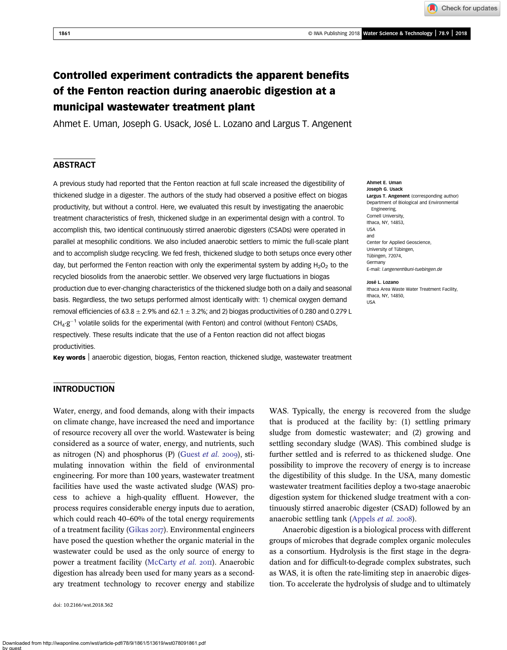Check for updates

Ahmet E. Uman

# Controlled experiment contradicts the apparent benefits of the Fenton reaction during anaerobic digestion at a municipal wastewater treatment plant

Ahmet E. Uman, Joseph G. Usack, José L. Lozano and Largus T. Angenent

## **ABSTRACT**

A previous study had reported that the Fenton reaction at full scale increased the digestibility of thickened sludge in a digester. The authors of the study had observed a positive effect on biogas productivity, but without a control. Here, we evaluated this result by investigating the anaerobic treatment characteristics of fresh, thickened sludge in an experimental design with a control. To accomplish this, two identical continuously stirred anaerobic digesters (CSADs) were operated in parallel at mesophilic conditions. We also included anaerobic settlers to mimic the full-scale plant and to accomplish sludge recycling. We fed fresh, thickened sludge to both setups once every other day, but performed the Fenton reaction with only the experimental system by adding  $H_2O_2$  to the recycled biosolids from the anaerobic settler. We observed very large fluctuations in biogas production due to ever-changing characteristics of the thickened sludge both on a daily and seasonal basis. Regardless, the two setups performed almost identically with: 1) chemical oxygen demand removal efficiencies of  $63.8 \pm 2.9\%$  and  $62.1 \pm 3.2\%$ ; and 2) biogas productivities of 0.280 and 0.279 L  $CH<sub>4</sub>$ : $g<sup>-1</sup>$  volatile solids for the experimental (with Fenton) and control (without Fenton) CSADs, respectively. These results indicate that the use of a Fenton reaction did not affect biogas productivities.

Key words | anaerobic digestion, biogas, Fenton reaction, thickened sludge, wastewater treatment

#### Joseph G. Usack Largus T. Angenent (corresponding author) Department of Biological and Environmental Engineering, Cornell University, Ithaca, NY, 14853, USA and Center for Applied Geoscience, University of Tübingen, Tübingen, 72074, Germany E-mail: [l.angenent@uni-tuebingen.de](mailto:l.angenent@uni-tuebingen.de)

José L. Lozano Ithaca Area Waste Water Treatment Facility, Ithaca, NY, 14850, USA

## **INTRODUCTION**

Water, energy, and food demands, along with their impacts on climate change, have increased the need and importance of resource recovery all over the world. Wastewater is being considered as a source of water, energy, and nutrients, such as nitrogen (N) and phosphorus (P) ([Guest](#page-9-0) et al. 2009), stimulating innovation within the field of environmental engineering. For more than 100 years, wastewater treatment facilities have used the waste activated sludge (WAS) process to achieve a high-quality effluent. However, the process requires considerable energy inputs due to aeration, which could reach 40–60% of the total energy requirements of a treatment facility ([Gikas](#page-9-0) 2017). Environmental engineers have posed the question whether the organic material in the wastewater could be used as the only source of energy to power a treatment facility [\(McCarty](#page-9-0) et al. 2011). Anaerobic digestion has already been used for many years as a secondary treatment technology to recover energy and stabilize

doi: 10.2166/wst.2018.362

WAS. Typically, the energy is recovered from the sludge that is produced at the facility by: (1) settling primary sludge from domestic wastewater; and (2) growing and settling secondary sludge (WAS). This combined sludge is further settled and is referred to as thickened sludge. One possibility to improve the recovery of energy is to increase the digestibility of this sludge. In the USA, many domestic wastewater treatment facilities deploy a two-stage anaerobic digestion system for thickened sludge treatment with a continuously stirred anaerobic digester (CSAD) followed by an anaerobic settling tank [\(Appels](#page-8-0) *et al.* 2008).

Anaerobic digestion is a biological process with different groups of microbes that degrade complex organic molecules as a consortium. Hydrolysis is the first stage in the degradation and for difficult-to-degrade complex substrates, such as WAS, it is often the rate-limiting step in anaerobic digestion. To accelerate the hydrolysis of sludge and to ultimately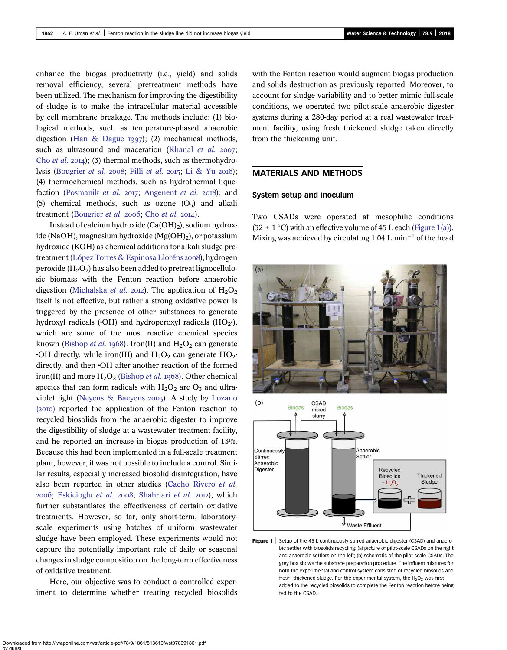<span id="page-1-0"></span>enhance the biogas productivity (i.e., yield) and solids removal efficiency, several pretreatment methods have been utilized. The mechanism for improving the digestibility of sludge is to make the intracellular material accessible by cell membrane breakage. The methods include: (1) biological methods, such as temperature-phased anaerobic digestion ([Han & Dague](#page-9-0)  $1997$ ); (2) mechanical methods, such as ultrasound and maceration [\(Khanal](#page-9-0) et al.  $2007$ ; Cho [et al.](#page-8-0)  $20I4$ ); (3) thermal methods, such as thermohydro-lysis [\(Bougrier](#page-8-0) [et al.](#page-9-0) 2008; Pilli et al. 2015; [Li & Yu](#page-9-0) 2016); (4) thermochemical methods, such as hydrothermal lique-faction [\(Posmanik](#page-9-0) et al. 2017; [Angenent](#page-8-0) et al. 2018); and (5) chemical methods, such as ozone  $(O_3)$  and alkali treatment ([Bougrier](#page-8-0) [et al.](#page-8-0) 2006; Cho et al. 2014).

Instead of calcium hydroxide  $(Ca(OH)_2)$ , sodium hydroxide (NaOH), magnesium hydroxide  $(Mg(OH)_2)$ , or potassium hydroxide (KOH) as chemical additions for alkali sludge pre-treatment [\(López Torres & Espinosa Lloréns](#page-9-0) 2008), hydrogen peroxide  $(H_2O_2)$  has also been added to pretreat lignocellulosic biomass with the Fenton reaction before anaerobic digestion ([Michalska](#page-9-0) *et al.* 2012). The application of  $H_2O_2$ itself is not effective, but rather a strong oxidative power is triggered by the presence of other substances to generate hydroxyl radicals  $\langle$  OH) and hydroperoxyl radicals  $(HO_{2}$ <sup>\*</sup>), which are some of the most reactive chemical species known [\(Bishop](#page-8-0) *et al.* 1968). Iron(II) and  $H_2O_2$  can generate •OH directly, while iron(III) and  $H_2O_2$  can generate  $HO_2$ • directly, and then •OH after another reaction of the formed iron(II) and more  $H_2O_2$  ([Bishop](#page-8-0) *et al.* 1968). Other chemical species that can form radicals with  $H_2O_2$  are  $O_3$  and ultra-violet light ([Neyens & Baeyens](#page-9-0) 2003). A study by [Lozano](#page-9-0) (2010) reported the application of the Fenton reaction to recycled biosolids from the anaerobic digester to improve the digestibility of sludge at a wastewater treatment facility, and he reported an increase in biogas production of 13%. Because this had been implemented in a full-scale treatment plant, however, it was not possible to include a control. Similar results, especially increased biosolid disintegration, have also been reported in other studies ([Cacho Rivero](#page-8-0) et al. 2006; [Eskicioglu](#page-8-0) et al. 2008; [Shahriari](#page-9-0) et al. 2012), which further substantiates the effectiveness of certain oxidative treatments. However, so far, only short-term, laboratoryscale experiments using batches of uniform wastewater sludge have been employed. These experiments would not capture the potentially important role of daily or seasonal changes in sludge composition on the long-term effectiveness of oxidative treatment.

Here, our objective was to conduct a controlled experiment to determine whether treating recycled biosolids with the Fenton reaction would augment biogas production and solids destruction as previously reported. Moreover, to account for sludge variability and to better mimic full-scale conditions, we operated two pilot-scale anaerobic digester systems during a 280-day period at a real wastewater treatment facility, using fresh thickened sludge taken directly from the thickening unit.

### MATERIALS AND METHODS

#### System setup and inoculum

Two CSADs were operated at mesophilic conditions  $(32 \pm 1 \degree C)$  with an effective volume of 45 L each (Figure 1(a)). Mixing was achieved by circulating 1.04 L $\cdot$ min<sup>-1</sup> of the head



Figure 1 | Setup of the 45-L continuously stirred anaerobic digester (CSAD) and anaerobic settler with biosolids recycling: (a) picture of pilot-scale CSADs on the right and anaerobic settlers on the left; (b) schematic of the pilot-scale CSADs. The grey box shows the substrate preparation procedure. The influent mixtures for both the experimental and control system consisted of recycled biosolids and fresh, thickened sludge. For the experimental system, the  $H_2O_2$  was first added to the recycled biosolids to complete the Fenton reaction before being fed to the CSAD.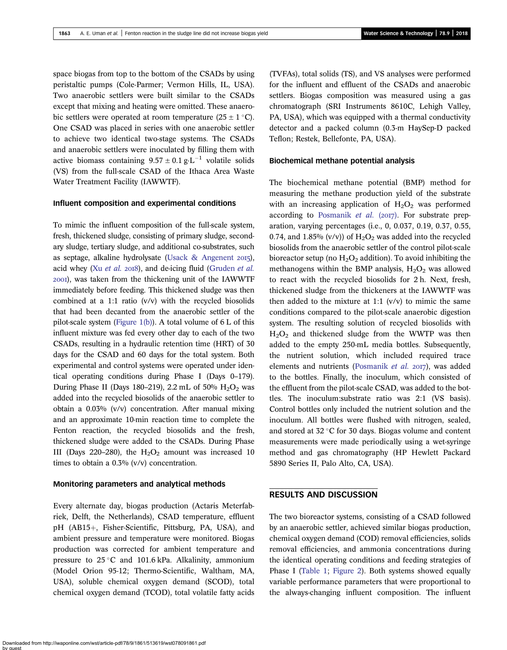space biogas from top to the bottom of the CSADs by using peristaltic pumps (Cole-Parmer; Vermon Hills, IL, USA). Two anaerobic settlers were built similar to the CSADs except that mixing and heating were omitted. These anaerobic settlers were operated at room temperature  $(25 \pm 1 \degree C)$ . One CSAD was placed in series with one anaerobic settler to achieve two identical two-stage systems. The CSADs and anaerobic settlers were inoculated by filling them with active biomass containing  $9.57 \pm 0.1$  g·L<sup>-1</sup> volatile solids (VS) from the full-scale CSAD of the Ithaca Area Waste Water Treatment Facility (IAWWTF).

#### Influent composition and experimental conditions

To mimic the influent composition of the full-scale system, fresh, thickened sludge, consisting of primary sludge, secondary sludge, tertiary sludge, and additional co-substrates, such as septage, alkaline hydrolysate [\(Usack & Angenent](#page-9-0)  $2015$ ), acid whey (Xu [et al.](#page-9-0)  $2018$ ), and de-icing fluid ([Gruden](#page-9-0) et al. ), was taken from the thickening unit of the IAWWTF immediately before feeding. This thickened sludge was then combined at a 1:1 ratio  $(v/v)$  with the recycled biosolids that had been decanted from the anaerobic settler of the pilot-scale system [\(Figure 1\(b\)](#page-1-0)). A total volume of  $6 L$  of this influent mixture was fed every other day to each of the two CSADs, resulting in a hydraulic retention time (HRT) of 30 days for the CSAD and 60 days for the total system. Both experimental and control systems were operated under identical operating conditions during Phase I (Days 0–179). During Phase II (Days 180–219), 2.2 mL of 50%  $H<sub>2</sub>O<sub>2</sub>$  was added into the recycled biosolids of the anaerobic settler to obtain a 0.03% (v/v) concentration. After manual mixing and an approximate 10-min reaction time to complete the Fenton reaction, the recycled biosolids and the fresh, thickened sludge were added to the CSADs. During Phase III (Days 220–280), the  $H<sub>2</sub>O<sub>2</sub>$  amount was increased 10 times to obtain a 0.3% (v/v) concentration.

#### Monitoring parameters and analytical methods

Every alternate day, biogas production (Actaris Meterfabriek, Delft, the Netherlands), CSAD temperature, effluent pH (AB15+, Fisher-Scientific, Pittsburg, PA, USA), and ambient pressure and temperature were monitored. Biogas production was corrected for ambient temperature and pressure to  $25^{\circ}$ C and 101.6 kPa. Alkalinity, ammonium (Model Orion 95-12; Thermo-Scientific, Waltham, MA, USA), soluble chemical oxygen demand (SCOD), total chemical oxygen demand (TCOD), total volatile fatty acids

(TVFAs), total solids (TS), and VS analyses were performed for the influent and effluent of the CSADs and anaerobic settlers. Biogas composition was measured using a gas chromatograph (SRI Instruments 8610C, Lehigh Valley, PA, USA), which was equipped with a thermal conductivity detector and a packed column (0.3-m HaySep-D packed Teflon; Restek, Bellefonte, PA, USA).

## Biochemical methane potential analysis

The biochemical methane potential (BMP) method for measuring the methane production yield of the substrate with an increasing application of  $H_2O_2$  was performed according to [Posmanik](#page-9-0) et al.  $(2017)$ . For substrate preparation, varying percentages (i.e., 0, 0.037, 0.19, 0.37, 0.55, 0.74, and 1.85% (v/v)) of  $H<sub>2</sub>O<sub>2</sub>$  was added into the recycled biosolids from the anaerobic settler of the control pilot-scale bioreactor setup (no  $H_2O_2$  addition). To avoid inhibiting the methanogens within the BMP analysis,  $H_2O_2$  was allowed to react with the recycled biosolids for 2 h. Next, fresh, thickened sludge from the thickeners at the IAWWTF was then added to the mixture at 1:1  $(v/v)$  to mimic the same conditions compared to the pilot-scale anaerobic digestion system. The resulting solution of recycled biosolids with  $H<sub>2</sub>O<sub>2</sub>$  and thickened sludge from the WWTP was then added to the empty 250-mL media bottles. Subsequently, the nutrient solution, which included required trace elements and nutrients ([Posmanik](#page-9-0) et al. 2017), was added to the bottles. Finally, the inoculum, which consisted of the effluent from the pilot-scale CSAD, was added to the bottles. The inoculum:substrate ratio was 2:1 (VS basis). Control bottles only included the nutrient solution and the inoculum. All bottles were flushed with nitrogen, sealed, and stored at  $32 \degree C$  for 30 days. Biogas volume and content measurements were made periodically using a wet-syringe method and gas chromatography (HP Hewlett Packard 5890 Series II, Palo Alto, CA, USA).

## RESULTS AND DISCUSSION

The two bioreactor systems, consisting of a CSAD followed by an anaerobic settler, achieved similar biogas production, chemical oxygen demand (COD) removal efficiencies, solids removal efficiencies, and ammonia concentrations during the identical operating conditions and feeding strategies of Phase I [\(Table 1;](#page-3-0) [Figure 2\)](#page-4-0). Both systems showed equally variable performance parameters that were proportional to the always-changing influent composition. The influent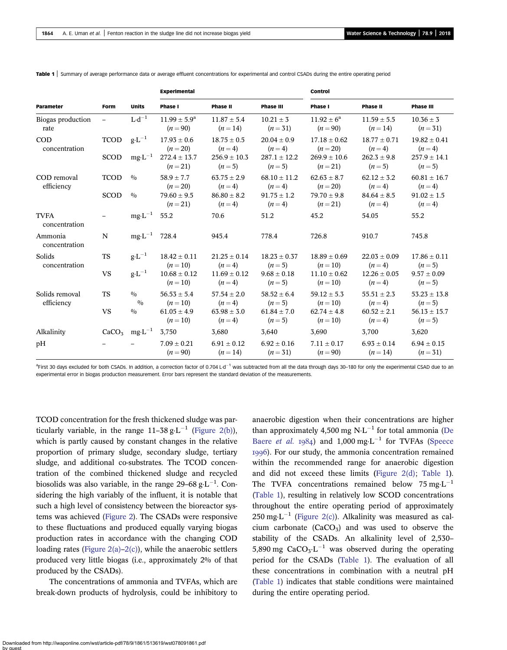|                              |                   |                                            | <b>Experimental</b>                   |                             |                             | <b>Control</b>                 |                             |                             |
|------------------------------|-------------------|--------------------------------------------|---------------------------------------|-----------------------------|-----------------------------|--------------------------------|-----------------------------|-----------------------------|
| Parameter                    | Form              | <b>Units</b>                               | Phase I                               | Phase II                    | <b>Phase III</b>            | Phase I                        | <b>Phase II</b>             | <b>Phase III</b>            |
| Biogas production<br>rate    |                   | $L \cdot d^{-1}$                           | $11.99 \pm 5.9^{\rm a}$<br>$(n = 90)$ | $11.87 \pm 5.4$<br>$(n=14)$ | $10.21 \pm 3$<br>$(n=31)$   | $11.92 \pm 6^a$<br>$(n = 90)$  | $11.59 \pm 5.5$<br>$(n=14)$ | $10.36 \pm 3$<br>$(n=31)$   |
| <b>COD</b><br>concentration  | <b>TCOD</b>       | $g \cdot L^{-1}$                           | $17.93 \pm 0.6$<br>$(n=20)$           | $18.75 + 0.5$<br>$(n=4)$    | $20.04 + 0.9$<br>$(n=4)$    | $17.18 + 0.62$<br>$(n=20)$     | $18.77 + 0.71$<br>$(n=4)$   | $19.82 + 0.41$<br>$(n=4)$   |
|                              | <b>SCOD</b>       | $mg \cdot L^{-1}$                          | $272.4 \pm 13.7$<br>$(n=21)$          | $256.9 \pm 10.3$<br>$(n=5)$ | $287.1 \pm 12.2$<br>$(n=5)$ | $269.9 \pm 10.6$<br>$(n=21)$   | $262.3 \pm 9.8$<br>$(n=5)$  | $257.9 \pm 14.1$<br>$(n=5)$ |
| COD removal<br>efficiency    | <b>TCOD</b>       | 0/0                                        | $58.9 \pm 7.7$<br>$(n=20)$            | $63.75 \pm 2.9$<br>$(n=4)$  | $68.10 \pm 11.2$<br>$(n=4)$ | $62.63 \pm 8.7$<br>$(n=20)$    | $62.12 \pm 3.2$<br>$(n=4)$  | $60.81 \pm 16.7$<br>$(n=4)$ |
|                              | <b>SCOD</b>       | 0/0                                        | $79.60 \pm 9.5$<br>$(n=21)$           | $86.80 \pm 8.2$<br>$(n=4)$  | $91.75 \pm 1.2$<br>$(n=4)$  | $79.70 \pm 9.8$<br>$(n=21)$    | $84.64 \pm 8.5$<br>$(n=4)$  | $91.02 \pm 1.5$<br>$(n=4)$  |
| <b>TVFA</b><br>concentration |                   | $mg \cdot L^{-1}$ 55.2                     |                                       | 70.6                        | 51.2                        | 45.2                           | 54.05                       | 55.2                        |
| Ammonia<br>concentration     | N                 | $mg \cdot L^{-1}$ 728.4                    |                                       | 945.4                       | 778.4                       | 726.8                          | 910.7                       | 745.8                       |
| Solids<br>concentration      | <b>TS</b>         | $g \cdot L^{-1}$                           | $18.42 \pm 0.11$<br>$(n=10)$          | $21.25 \pm 0.14$<br>$(n=4)$ | $18.23 \pm 0.37$<br>$(n=5)$ | $18.89 \pm 0.69$<br>$(n = 10)$ | $22.03 \pm 0.09$<br>$(n=4)$ | $17.86 \pm 0.11$<br>$(n=5)$ |
|                              | <b>VS</b>         | $\mathbf{g}\mathbf{\cdot} \mathbf{L}^{-1}$ | $10.68 \pm 0.12$<br>$(n = 10)$        | $11.69 \pm 0.12$<br>$(n=4)$ | $9.68 \pm 0.18$<br>$(n=5)$  | $11.10 \pm 0.62$<br>$(n = 10)$ | $12.26 \pm 0.05$<br>$(n=4)$ | $9.57 \pm 0.09$<br>$(n=5)$  |
| Solids removal<br>efficiency | <b>TS</b>         | 0/0<br>0/0                                 | $56.53 \pm 5.4$<br>$(n=10)$           | $57.54 \pm 2.0$<br>$(n=4)$  | $58.52 \pm 6.4$<br>$(n=5)$  | $59.12 \pm 5.3$<br>$(n = 10)$  | $55.51 \pm 2.3$<br>$(n=4)$  | $53.23 \pm 13.8$<br>$(n=5)$ |
|                              | <b>VS</b>         | 0/0                                        | $61.05 \pm 4.9$<br>$(n=10)$           | $63.98 \pm 3.0$<br>$(n=4)$  | $61.84 \pm 7.0$<br>$(n=5)$  | $62.74 \pm 4.8$<br>$(n = 10)$  | $60.52 \pm 2.1$<br>$(n=4)$  | $56.13 \pm 15.7$<br>$(n=5)$ |
| Alkalinity                   | CaCO <sub>3</sub> | $mg·L^{-1}$                                | 3,750                                 | 3,680                       | 3,640                       | 3,690                          | 3,700                       | 3,620                       |
| pH                           |                   |                                            | $7.09 \pm 0.21$<br>$(n = 90)$         | $6.91 \pm 0.12$<br>$(n=14)$ | $6.92 \pm 0.16$<br>$(n=31)$ | $7.11 \pm 0.17$<br>$(n = 90)$  | $6.93 \pm 0.14$<br>$(n=14)$ | $6.94 \pm 0.15$<br>$(n=31)$ |

<span id="page-3-0"></span>Table 1 | Summary of average performance data or average effluent concentrations for experimental and control CSADs during the entire operating period

<sup>a</sup>First 30 days excluded for both CSADs. In addition, a correction factor of 0.704 L·d<sup>-1</sup> was subtracted from all the data through days 30–180 for only the experimental CSAD due to an experimental error in biogas production measurement. Error bars represent the standard deviation of the measurements.

TCOD concentration for the fresh thickened sludge was particularly variable, in the range  $11-38$  g·L<sup>-1</sup> ([Figure 2\(b\)](#page-4-0)), which is partly caused by constant changes in the relative proportion of primary sludge, secondary sludge, tertiary sludge, and additional co-substrates. The TCOD concentration of the combined thickened sludge and recycled biosolids was also variable, in the range 29–68  $g \cdot L^{-1}$ . Considering the high variably of the influent, it is notable that such a high level of consistency between the bioreactor systems was achieved [\(Figure 2\)](#page-4-0). The CSADs were responsive to these fluctuations and produced equally varying biogas production rates in accordance with the changing COD loading rates (Figure  $2(a)-2(c)$ ), while the anaerobic settlers produced very little biogas (i.e., approximately 2% of that produced by the CSADs).

The concentrations of ammonia and TVFAs, which are break-down products of hydrolysis, could be inhibitory to anaerobic digestion when their concentrations are higher than approximately 4,500 mg  $N \cdot L^{-1}$  for total ammonia ([De](#page-8-0) [Baere](#page-8-0) *et al.* 1984) and 1,000 mg·L<sup>-1</sup> for TVFAs ([Speece](#page-9-0) ). For our study, the ammonia concentration remained within the recommended range for anaerobic digestion and did not exceed these limits ([Figure 2\(d\)](#page-4-0); Table 1). The TVFA concentrations remained below  $75 \text{ mg} \cdot \text{L}^{-1}$ (Table 1), resulting in relatively low SCOD concentrations throughout the entire operating period of approximately 250 mg·L<sup>-1</sup> [\(Figure 2\(c\)\)](#page-4-0). Alkalinity was measured as calcium carbonate  $(CaCO<sub>3</sub>)$  and was used to observe the stability of the CSADs. An alkalinity level of 2,530– 5,890 mg CaCO<sub>3</sub>·L<sup>-1</sup> was observed during the operating period for the CSADs (Table 1). The evaluation of all these concentrations in combination with a neutral pH (Table 1) indicates that stable conditions were maintained during the entire operating period.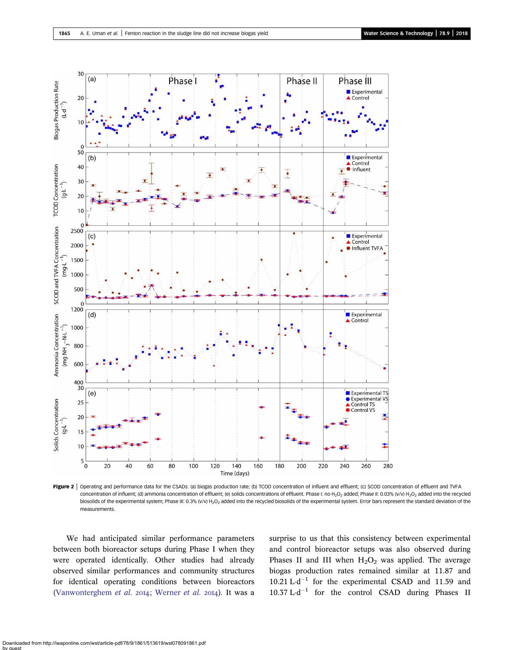<span id="page-4-0"></span>

Figure 2 | Operating and performance data for the CSADs: (a) biogas production rate; (b) TCOD concentration of influent and effluent; (c) SCOD concentration of effluent and TVFA concentration of influent; (d) ammonia concentration of effluent; (e) solids concentrations of effluent. Phase I: no H<sub>2</sub>O<sub>2</sub> added; Phase II: 0.03% (v/v) H<sub>2</sub>O<sub>2</sub> added into the recycled biosolids of the experimental system; Phase III: 0.3% (v/v) H<sub>2</sub>O<sub>2</sub> added into the recycled biosolids of the experimental system. Error bars represent the standard deviation of the measurements.

We had anticipated similar performance parameters between both bioreactor setups during Phase I when they were operated identically. Other studies had already observed similar performances and community structures for identical operating conditions between bioreactors [\(Vanwonterghem](#page-9-0) et al. 2014; [Werner](#page-9-0) et al. 2014). It was a surprise to us that this consistency between experimental and control bioreactor setups was also observed during Phases II and III when  $H_2O_2$  was applied. The average biogas production rates remained similar at 11.87 and 10.21  $L \cdot d^{-1}$  for the experimental CSAD and 11.59 and  $10.37 \mathrm{L} \cdot \mathrm{d}^{-1}$  for the control CSAD during Phases II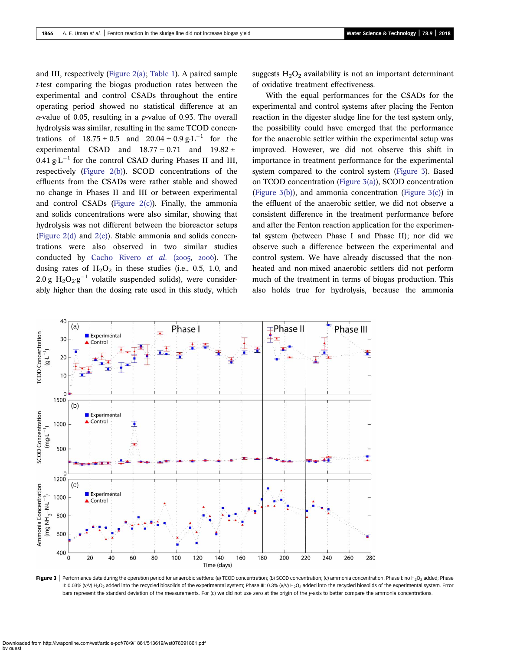<span id="page-5-0"></span>and III, respectively ([Figure 2\(a\)](#page-4-0); [Table 1](#page-3-0)). A paired sample t-test comparing the biogas production rates between the experimental and control CSADs throughout the entire operating period showed no statistical difference at an  $\alpha$ -value of 0.05, resulting in a *p*-value of 0.93. The overall hydrolysis was similar, resulting in the same TCOD concentrations of  $18.75 \pm 0.5$  and  $20.04 \pm 0.9$  g·L<sup>-1</sup> for the experimental CSAD and  $18.77 \pm 0.71$  and  $19.82 \pm 0.71$  $0.41$  g·L<sup>-1</sup> for the control CSAD during Phases II and III, respectively ([Figure 2\(b\)](#page-4-0)). SCOD concentrations of the effluents from the CSADs were rather stable and showed no change in Phases II and III or between experimental and control CSADs (Figure  $2(c)$ ). Finally, the ammonia and solids concentrations were also similar, showing that hydrolysis was not different between the bioreactor setups ([Figure 2\(d\)](#page-4-0) and [2\(e\)\)](#page-4-0). Stable ammonia and solids concentrations were also observed in two similar studies conducted by [Cacho Rivero](#page-8-0) et al.  $(2005, 2006)$ . The dosing rates of  $H_2O_2$  in these studies (i.e., 0.5, 1.0, and 2.0 g  $H_2O_2·g^{-1}$  volatile suspended solids), were considerably higher than the dosing rate used in this study, which suggests  $H_2O_2$  availability is not an important determinant of oxidative treatment effectiveness.

With the equal performances for the CSADs for the experimental and control systems after placing the Fenton reaction in the digester sludge line for the test system only, the possibility could have emerged that the performance for the anaerobic settler within the experimental setup was improved. However, we did not observe this shift in importance in treatment performance for the experimental system compared to the control system (Figure 3). Based on TCOD concentration (Figure 3(a)), SCOD concentration (Figure  $3(b)$ ), and ammonia concentration (Figure  $3(c)$ ) in the effluent of the anaerobic settler, we did not observe a consistent difference in the treatment performance before and after the Fenton reaction application for the experimental system (between Phase I and Phase II); nor did we observe such a difference between the experimental and control system. We have already discussed that the nonheated and non-mixed anaerobic settlers did not perform much of the treatment in terms of biogas production. This also holds true for hydrolysis, because the ammonia



Figure 3 | Performance data during the operation period for anaerobic settlers: (a) TCOD concentration; (b) SCOD concentration; (c) ammonia concentration. Phase I: no H<sub>2</sub>O<sub>2</sub> added; Phase II: 0.03% (V/V) H<sub>2</sub>O<sub>2</sub> added into the recycled biosolids of the experimental system; Phase III: 0.3% (V/V) H<sub>2</sub>O<sub>2</sub> added into the recycled biosolids of the experimental system. Error bars represent the standard deviation of the measurements. For (c) we did not use zero at the origin of the y-axis to better compare the ammonia concentrations.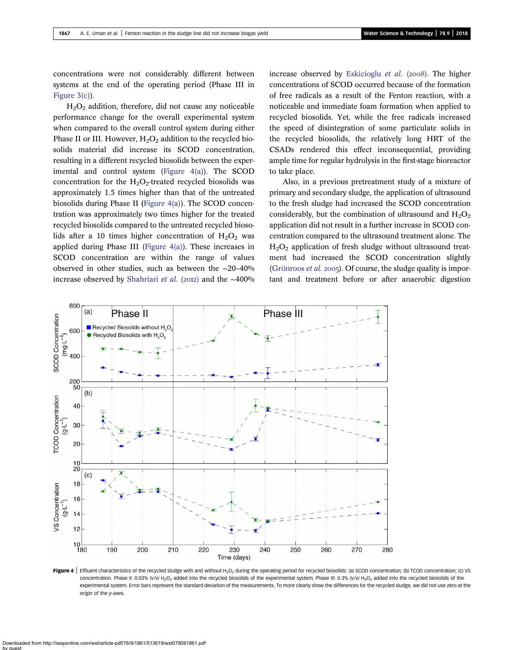<span id="page-6-0"></span>concentrations were not considerably different between systems at the end of the operating period (Phase III in [Figure 3\(c\)](#page-5-0)).

 $H<sub>2</sub>O<sub>2</sub>$  addition, therefore, did not cause any noticeable performance change for the overall experimental system when compared to the overall control system during either Phase II or III. However,  $H_2O_2$  addition to the recycled biosolids material did increase its SCOD concentration, resulting in a different recycled biosolids between the experimental and control system (Figure  $4(a)$ ). The SCOD concentration for the  $H_2O_2$ -treated recycled biosolids was approximately 1.5 times higher than that of the untreated biosolids during Phase II (Figure 4(a)). The SCOD concentration was approximately two times higher for the treated recycled biosolids compared to the untreated recycled biosolids after a 10 times higher concentration of  $H_2O_2$  was applied during Phase III (Figure 4(a)). These increases in SCOD concentration are within the range of values observed in other studies, such as between the ∼20–40% increase observed by [Shahriari](#page-9-0) et al. (2012) and the ~400% increase observed by [Eskicioglu](#page-8-0) et al. (2008). The higher concentrations of SCOD occurred because of the formation of free radicals as a result of the Fenton reaction, with a noticeable and immediate foam formation when applied to recycled biosolids. Yet, while the free radicals increased the speed of disintegration of some particulate solids in the recycled biosolids, the relatively long HRT of the CSADs rendered this effect inconsequential, providing ample time for regular hydrolysis in the first-stage bioreactor to take place.

Also, in a previous pretreatment study of a mixture of primary and secondary sludge, the application of ultrasound to the fresh sludge had increased the SCOD concentration considerably, but the combination of ultrasound and  $H_2O_2$ application did not result in a further increase in SCOD concentration compared to the ultrasound treatment alone. The  $H<sub>2</sub>O<sub>2</sub>$  application of fresh sludge without ultrasound treatment had increased the SCOD concentration slightly [\(Grönroos](#page-9-0) *et al.* 2005). Of course, the sludge quality is important and treatment before or after anaerobic digestion



Figure 4 | Effluent characteristics of the recycled sludge with and without H<sub>2</sub>O<sub>2</sub> during the operating period for recycled biosolids: (a) SCOD concentration; (b) TCOD concentration; (c) VS concentration. Phase II: 0.03% (v/v) H<sub>2</sub>O<sub>2</sub> added into the recycled biosolids of the experimental system; Phase III: 0.3% (v/v) H<sub>2</sub>O<sub>2</sub> added into the recycled biosolids of the experimental system. Error bars represent the standard deviation of the measurements. To more clearly show the differences for the recycled sludge, we did not use zero at the origin of the y-axes.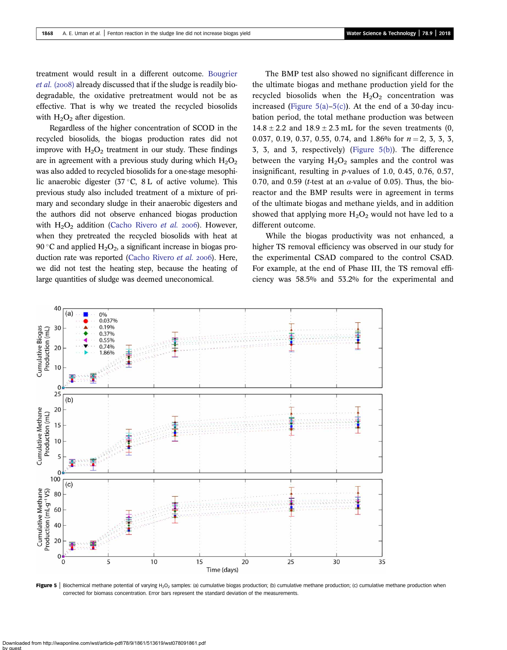treatment would result in a different outcome. [Bougrier](#page-8-0)  $et \ al. (2008)$  already discussed that if the sludge is readily biodegradable, the oxidative pretreatment would not be as effective. That is why we treated the recycled biosolids with  $H_2O_2$  after digestion.

Regardless of the higher concentration of SCOD in the recycled biosolids, the biogas production rates did not improve with  $H_2O_2$  treatment in our study. These findings are in agreement with a previous study during which  $H_2O_2$ was also added to recycled biosolids for a one-stage mesophilic anaerobic digester  $(37 \degree C, 8 \text{ L of active volume})$ . This previous study also included treatment of a mixture of primary and secondary sludge in their anaerobic digesters and the authors did not observe enhanced biogas production with  $H_2O_2$  addition ([Cacho Rivero](#page-8-0) et al. 2006). However, when they pretreated the recycled biosolids with heat at 90 °C and applied  $H_2O_2$ , a significant increase in biogas pro-duction rate was reported [\(Cacho Rivero](#page-8-0) et al. 2006). Here, we did not test the heating step, because the heating of large quantities of sludge was deemed uneconomical.

The BMP test also showed no significant difference in the ultimate biogas and methane production yield for the recycled biosolids when the  $H_2O_2$  concentration was increased (Figure  $5(a)$ – $5(c)$ ). At the end of a 30-day incubation period, the total methane production was between  $14.8 \pm 2.2$  and  $18.9 \pm 2.3$  mL for the seven treatments (0, 0.037, 0.19, 0.37, 0.55, 0.74, and 1.86% for  $n = 2, 3, 3, 3,$ 3, 3, and 3, respectively) (Figure 5(b)). The difference between the varying  $H_2O_2$  samples and the control was insignificant, resulting in p-values of 1.0, 0.45, 0.76, 0.57, 0.70, and 0.59 (*t*-test at an  $\alpha$ -value of 0.05). Thus, the bioreactor and the BMP results were in agreement in terms of the ultimate biogas and methane yields, and in addition showed that applying more  $H_2O_2$  would not have led to a different outcome.

While the biogas productivity was not enhanced, a higher TS removal efficiency was observed in our study for the experimental CSAD compared to the control CSAD. For example, at the end of Phase III, the TS removal efficiency was 58.5% and 53.2% for the experimental and



Figure 5 | Biochemical methane potential of varying H<sub>2</sub>O<sub>2</sub> samples: (a) cumulative biogas production; (b) cumulative methane production; (c) cumulative methane production when corrected for biomass concentration. Error bars represent the standard deviation of the measurements.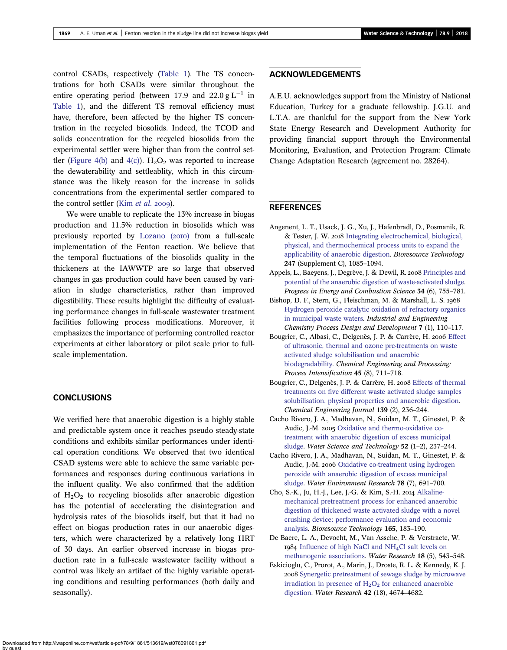<span id="page-8-0"></span>control CSADs, respectively ([Table 1](#page-3-0)). The TS concentrations for both CSADs were similar throughout the entire operating period (between 17.9 and 22.0  $g L^{-1}$  in [Table 1\)](#page-3-0), and the different TS removal efficiency must have, therefore, been affected by the higher TS concentration in the recycled biosolids. Indeed, the TCOD and solids concentration for the recycled biosolids from the experimental settler were higher than from the control set-tler [\(Figure 4\(b\)](#page-6-0) and [4\(c\)\)](#page-6-0).  $H_2O_2$  was reported to increase the dewaterability and settleablity, which in this circumstance was the likely reason for the increase in solids concentrations from the experimental settler compared to the control settler (Kim [et al.](#page-9-0) 2009).

We were unable to replicate the 13% increase in biogas production and 11.5% reduction in biosolids which was previously reported by [Lozano \(](#page-9-0)2010) from a full-scale implementation of the Fenton reaction. We believe that the temporal fluctuations of the biosolids quality in the thickeners at the IAWWTP are so large that observed changes in gas production could have been caused by variation in sludge characteristics, rather than improved digestibility. These results highlight the difficulty of evaluating performance changes in full-scale wastewater treatment facilities following process modifications. Moreover, it emphasizes the importance of performing controlled reactor experiments at either laboratory or pilot scale prior to fullscale implementation.

## **CONCLUSIONS**

We verified here that anaerobic digestion is a highly stable and predictable system once it reaches pseudo steady-state conditions and exhibits similar performances under identical operation conditions. We observed that two identical CSAD systems were able to achieve the same variable performances and responses during continuous variations in the influent quality. We also confirmed that the addition of  $H_2O_2$  to recycling biosolids after anaerobic digestion has the potential of accelerating the disintegration and hydrolysis rates of the biosolids itself, but that it had no effect on biogas production rates in our anaerobic digesters, which were characterized by a relatively long HRT of 30 days. An earlier observed increase in biogas production rate in a full-scale wastewater facility without a control was likely an artifact of the highly variable operating conditions and resulting performances (both daily and seasonally).

## ACKNOWLEDGEMENTS

A.E.U. acknowledges support from the Ministry of National Education, Turkey for a graduate fellowship. J.G.U. and L.T.A. are thankful for the support from the New York State Energy Research and Development Authority for providing financial support through the Environmental Monitoring, Evaluation, and Protection Program: Climate Change Adaptation Research (agreement no. 28264).

## **REFERENCES**

- Angenent, L. T., Usack, J. G., Xu, J., Hafenbradl, D., Posmanik, R. & Tester, J. W. 2018 [Integrating electrochemical, biological,](http://dx.doi.org/10.1016/j.biortech.2017.09.104) [physical, and thermochemical process units to expand the](http://dx.doi.org/10.1016/j.biortech.2017.09.104) [applicability of anaerobic digestion.](http://dx.doi.org/10.1016/j.biortech.2017.09.104) Bioresource Technology 247 (Supplement C), 1085–1094.
- Appels, L., Baeyens, J., Degrève, J. & Dewil, R. 2008 [Principles and](http://dx.doi.org/10.1016/j.pecs.2008.06.002) [potential of the anaerobic digestion of waste-activated sludge](http://dx.doi.org/10.1016/j.pecs.2008.06.002). Progress in Energy and Combustion Science 34 (6), 755–781.
- Bishop, D. F., Stern, G., Fleischman, M. & Marshall, L. S. 1968 [Hydrogen peroxide catalytic oxidation of refractory organics](http://dx.doi.org/10.1021/i260025a022) [in municipal waste waters](http://dx.doi.org/10.1021/i260025a022). Industrial and Engineering Chemistry Process Design and Development 7 (1), 110–117.
- Bougrier, C., Albasi, C., Delgenès, J. P. & Carrère, H. 2006 [Effect](http://dx.doi.org/10.1016/j.cep.2006.02.005) [of ultrasonic, thermal and ozone pre-treatments on waste](http://dx.doi.org/10.1016/j.cep.2006.02.005) [activated sludge solubilisation and anaerobic](http://dx.doi.org/10.1016/j.cep.2006.02.005) [biodegradability.](http://dx.doi.org/10.1016/j.cep.2006.02.005) Chemical Engineering and Processing: Process Intensification 45 (8), 711–718.
- Bougrier, C., Delgenès, J. P. & Carrère, H. 2008 [Effects of thermal](http://dx.doi.org/10.1016/j.cej.2007.07.099) [treatments on five different waste activated sludge samples](http://dx.doi.org/10.1016/j.cej.2007.07.099) [solubilisation, physical properties and anaerobic digestion.](http://dx.doi.org/10.1016/j.cej.2007.07.099) Chemical Engineering Journal 139 (2), 236–244.
- Cacho Rivero, J. A., Madhavan, N., Suidan, M. T., Ginestet, P. & Audic, J.-M. 2005 [Oxidative and thermo-oxidative co](http://dx.doi.org/10.2166/wst.2005.0523)[treatment with anaerobic digestion of excess municipal](http://dx.doi.org/10.2166/wst.2005.0523) [sludge.](http://dx.doi.org/10.2166/wst.2005.0523) Water Science and Technology 52 (1–2), 237–244.
- Cacho Rivero, J. A., Madhavan, N., Suidan, M. T., Ginestet, P. & Audic, J.-M. 2006 [Oxidative co-treatment using hydrogen](http://dx.doi.org/10.2175/106143005X101647) [peroxide with anaerobic digestion of excess municipal](http://dx.doi.org/10.2175/106143005X101647) [sludge.](http://dx.doi.org/10.2175/106143005X101647) Water Environment Research 78 (7), 691–700.
- Cho, S.-K., Ju, H.-J., Lee, J.-G. & Kim, S.-H. 2014 [Alkaline](http://dx.doi.org/10.1016/j.biortech.2014.03.138)[mechanical pretreatment process for enhanced anaerobic](http://dx.doi.org/10.1016/j.biortech.2014.03.138) [digestion of thickened waste activated sludge with a novel](http://dx.doi.org/10.1016/j.biortech.2014.03.138) [crushing device: performance evaluation and economic](http://dx.doi.org/10.1016/j.biortech.2014.03.138) [analysis](http://dx.doi.org/10.1016/j.biortech.2014.03.138). Bioresource Technology 165, 183–190.
- De Baere, L. A., Devocht, M., Van Assche, P. & Verstraete, W. [Influence of high NaCl and NH](http://dx.doi.org/10.1016/0043-1354(84)90201-X)4[Cl salt levels on](http://dx.doi.org/10.1016/0043-1354(84)90201-X) [methanogenic associations.](http://dx.doi.org/10.1016/0043-1354(84)90201-X) Water Research 18 (5), 543–548.
- Eskicioglu, C., Prorot, A., Marin, J., Droste, R. L. & Kennedy, K. J. 2008 [Synergetic pretreatment of sewage sludge by microwave](http://dx.doi.org/10.1016/j.watres.2008.08.010) irradiation in presence of  $H_2O_2$  $H_2O_2$  $H_2O_2$  [for enhanced anaerobic](http://dx.doi.org/10.1016/j.watres.2008.08.010) [digestion](http://dx.doi.org/10.1016/j.watres.2008.08.010). Water Research 42 (18), 4674–4682.